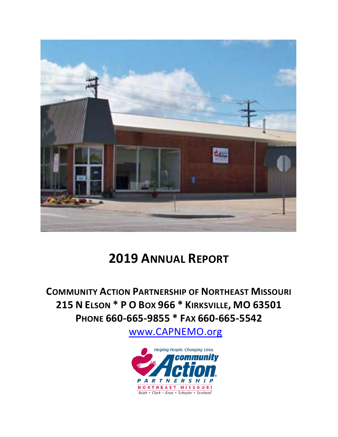

# **2019 ANNUAL REPORT**

**COMMUNITY ACTION PARTNERSHIP OF NORTHEAST MISSOURI 215 N ELSON \* P O BOX 966 \* KIRKSVILLE, MO 63501 PHONE 660-665-9855 \* FAX 660-665-5542**

[www.CAPNEMO.org](about:blank)

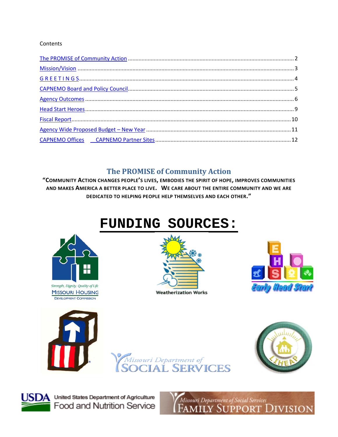#### Contents

### **The PROMISE of Community Action**

<span id="page-1-0"></span>"COMMUNITY ACTION CHANGES PEOPLE'S LIVES, EMBODIES THE SPIRIT OF HOPE, IMPROVES COMMUNITIES AND MAKES AMERICA A BETTER PLACE TO LIVE. WE CARE ABOUT THE ENTIRE COMMUNITY AND WE ARE DEDICATED TO HELPING PEOPLE HELP THEMSELVES AND EACH OTHER."

# **FUNDING SOURCES:**



Strength, Dignity, Quality of Life **MISSOURI HOUSING DEVELOPMENT COMMISSION** 













 $\mathbf{A}$  United States Department of Agriculture Food and Nutrition Service Missouri Department of Social Services<br>FAMILY SUPPORT DIVISION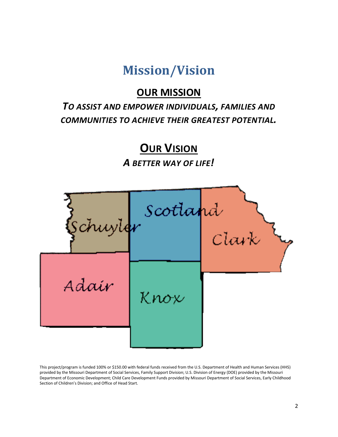## **Mission/Vision**

### **OUR MISSION**

### <span id="page-2-0"></span>*TO ASSIST AND EMPOWER INDIVIDUALS, FAMILIES AND COMMUNITIES TO ACHIEVE THEIR GREATEST POTENTIAL.*

**OUR VISION**

*A BETTER WAY OF LIFE!*



This project/program is funded 100% or \$150.00 with federal funds received from the U.S. Department of Health and Human Services (HHS) provided by the Missouri Department of Social Services, Family Support Division; U.S. Division of Energy (DOE) provided by the Missouri Department of Economic Development; Child Care Development Funds provided by Missouri Department of Social Services, Early Childhood Section of Children's Division; and Office of Head Start.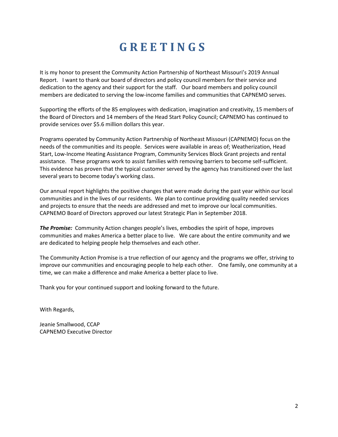# **G R E E T I N G S**

<span id="page-3-0"></span>It is my honor to present the Community Action Partnership of Northeast Missouri's 2019 Annual Report. I want to thank our board of directors and policy council members for their service and dedication to the agency and their support for the staff. Our board members and policy council members are dedicated to serving the low-income families and communities that CAPNEMO serves.

Supporting the efforts of the 85 employees with dedication, imagination and creativity, 15 members of the Board of Directors and 14 members of the Head Start Policy Council; CAPNEMO has continued to provide services over \$5.6 million dollars this year.

Programs operated by Community Action Partnership of Northeast Missouri (CAPNEMO) focus on the needs of the communities and its people. Services were available in areas of; Weatherization, Head Start, Low-Income Heating Assistance Program, Community Services Block Grant projects and rental assistance. These programs work to assist families with removing barriers to become self-sufficient. This evidence has proven that the typical customer served by the agency has transitioned over the last several years to become today's working class.

Our annual report highlights the positive changes that were made during the past year within our local communities and in the lives of our residents. We plan to continue providing quality needed services and projects to ensure that the needs are addressed and met to improve our local communities. CAPNEMO Board of Directors approved our latest Strategic Plan in September 2018.

*The Promise:* Community Action changes people's lives, embodies the spirit of hope, improves communities and makes America a better place to live. We care about the entire community and we are dedicated to helping people help themselves and each other.

The Community Action Promise is a true reflection of our agency and the programs we offer, striving to improve our communities and encouraging people to help each other. One family, one community at a time, we can make a difference and make America a better place to live.

Thank you for your continued support and looking forward to the future.

With Regards,

Jeanie Smallwood, CCAP CAPNEMO Executive Director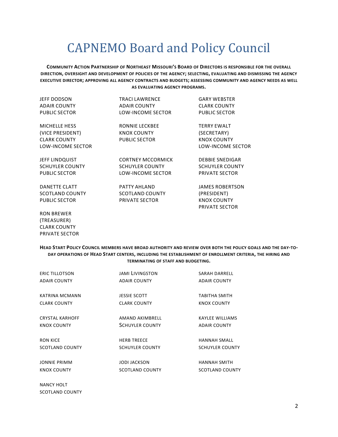# CAPNEMO Board and Policy Council

<span id="page-4-0"></span>**COMMUNITY ACTION PARTNERSHIP OF NORTHEAST MISSOURI'S BOARD OF DIRECTORS IS RESPONSIBLE FOR THE OVERALL DIRECTION, OVERSIGHT AND DEVELOPMENT OF POLICIES OF THE AGENCY; SELECTING, EVALUATING AND DISMISSING THE AGENCY EXECUTIVE DIRECTOR; APPROVING ALL AGENCY CONTRACTS AND BUDGETS; ASSESSING COMMUNITY AND AGENCY NEEDS AS WELL AS EVALUATING AGENCY PROGRAMS.**

| <b>JEFF DODSON</b>       | TRACLI AWRENCE           | <b>GARY WEBSTER</b>                  |
|--------------------------|--------------------------|--------------------------------------|
| <b>ADAIR COUNTY</b>      | <b>ADAIR COUNTY</b>      | <b>CLARK COUNTY</b>                  |
| <b>PUBLIC SECTOR</b>     | LOW-INCOME SECTOR        | <b>PUBLIC SECTOR</b>                 |
| <b>MICHELLE HESS</b>     | <b>RONNIE LECKBEE</b>    | <b>TERRY EWALT</b>                   |
| (VICE PRESIDENT)         | KNOX COUNTY              | (SECRETARY)                          |
| <b>CLARK COUNTY</b>      | <b>PUBLIC SECTOR</b>     | KNOX COUNTY                          |
| <b>LOW-INCOME SECTOR</b> |                          | <b>LOW-INCOME SECTOR</b>             |
| JEFF LINDQUIST           | <b>CORTNEY MCCORMICK</b> | <b>DEBBIE SNEDIGAR</b>               |
| <b>SCHUYLER COUNTY</b>   | <b>SCHUYLER COUNTY</b>   | <b>SCHUYLER COUNTY</b>               |
| <b>PUBLIC SECTOR</b>     | LOW-INCOME SECTOR        | <b>PRIVATE SECTOR</b>                |
| <b>DANETTE CLATT</b>     | PATTY AHLAND             | JAMES ROBERTSON                      |
| <b>SCOTLAND COUNTY</b>   | <b>SCOTLAND COUNTY</b>   | (PRESIDENT)                          |
| <b>PUBLIC SECTOR</b>     | <b>PRIVATE SECTOR</b>    | <b>KNOX COUNTY</b><br>PRIVATE SECTOR |
|                          |                          |                                      |

RON BREWER (TREASURER) CLARK COUNTY PRIVATE SECTOR

**HEAD START POLICY COUNCIL MEMBERS HAVE BROAD AUTHORITY AND REVIEW OVER BOTH THE POLICY GOALS AND THE DAY-TO-DAY OPERATIONS OF HEAD START CENTERS, INCLUDING THE ESTABLISHMENT OF ENROLLMENT CRITERIA, THE HIRING AND TERMINATING OF STAFF AND BUDGETING.**

| <b>ERIC TILLOTSON</b>  | <b>JAMI LIVINGSTON</b> | SARAH DARRELL          |
|------------------------|------------------------|------------------------|
| <b>ADAIR COUNTY</b>    | <b>ADAIR COUNTY</b>    | <b>ADAIR COUNTY</b>    |
|                        |                        |                        |
| KATRINA MCMANN         | <b>JESSIE SCOTT</b>    | TABITHA SMITH          |
| <b>CLARK COUNTY</b>    | <b>CLARK COUNTY</b>    | KNOX COUNTY            |
|                        |                        |                        |
| <b>CRYSTAL KARHOFF</b> | AMAND AKIMBRELL        | <b>KAYLEE WILLIAMS</b> |
| <b>KNOX COUNTY</b>     | <b>SCHUYLER COUNTY</b> | <b>ADAIR COUNTY</b>    |
|                        |                        |                        |
| <b>RON KICE</b>        | <b>HERB TREECE</b>     | <b>HANNAH SMALL</b>    |
| <b>SCOTLAND COUNTY</b> | <b>SCHUYLER COUNTY</b> | <b>SCHUYLER COUNTY</b> |
|                        |                        |                        |
| <b>JONNIE PRIMM</b>    | <b>JODI JACKSON</b>    | <b>HANNAH SMITH</b>    |
| <b>KNOX COUNTY</b>     | <b>SCOTLAND COUNTY</b> | <b>SCOTLAND COUNTY</b> |
|                        |                        |                        |
| . <i>.</i>             |                        |                        |

NANCY HOLT SCOTLAND COUNTY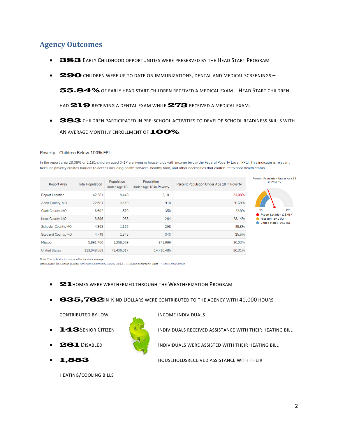### <span id="page-5-0"></span>**Agency Outcomes**

- 383 EARLY CHILDHOOD OPPORTUNITIES WERE PRESERVED BY THE HEAD START PROGRAM
- 290 CHILDREN WERE UP TO DATE ON IMMUNIZATIONS, DENTAL AND MEDICAL SCREENINGS-

55.84% OF EARLY HEAD START CHILDREN RECEIVED A MEDICAL EXAM. HEAD START CHILDREN

HAD **219** RECEIVING A DENTAL EXAM WHILE **273** RECEIVED A MEDICAL EXAM.

• 383 CHILDREN PARTICIPATED IN PRE-SCHOOL ACTIVITIES TO DEVELOP SCHOOL READINESS SKILLS WITH AN AVERAGE MONTHLY ENROLLMENT OF **100%**.

#### Poverty - Children Below 100% FPL

In the report area 23.08% or 2,181 children aged 0-17 are living in households with income below the Federal Poverty Level (FPL). This indicator is relevant because poverty creates barriers to access including health services, healthy food, and other necessities that contribute to poor health status.

| <b>Report Area</b>     | <b>Total Population</b> | Population<br>Under Age 18 | Population<br>Under Age 18 in Poverty | Percent Population Under Age 18 in Poverty | <b>Percent Population Under Age 18</b><br>in Poverty |
|------------------------|-------------------------|----------------------------|---------------------------------------|--------------------------------------------|------------------------------------------------------|
| <b>Report Location</b> | 42,381                  | 9,448                      | 2,181                                 | 23.08%                                     |                                                      |
| Adair County, MO       | 22,681                  | 4,440                      | 918                                   | 20.68%                                     |                                                      |
| Clark County, MO       | 6,692                   | 1,570                      | 358                                   | 22.8%                                      | 50%<br>0%<br>Report Location (23.08%)                |
| Knox County, MO        | 3,896                   | 938                        | 264                                   | 28.14%                                     | <b>Missouri (20.03%)</b>                             |
| Schuyler County, MO    | 4,363                   | 1,155                      | 298                                   | 25.8%                                      | United States (20.31%)                               |
| Scotland County, MO    | 4.749                   | 1,345                      | 343                                   | 25.5%                                      |                                                      |
| Missouri               | 5,891,760               | 1,358,059                  | 271,999                               | 20.03%                                     |                                                      |
| <b>United States</b>   | 313,048,563             | 72,430,017                 | 14,710,485                            | 20.31%                                     |                                                      |

Note: This indicator is compared to the state average.

Data Source: US Census Bureau, American Community Survey. 2013-17. Source geography: Tract → Show more details

- **21 HOMES WERE WEATHERIZED THROUGH THE WEATHERIZATION PROGRAM**
- **635,762I**N-KIND DOLLARS WERE CONTRIBUTED TO THE AGENCY WITH 40,000 HOURS

CONTRIBUTED BY LOW- INCOME INDIVIDUALS

- 
- 
- 

HEATING/COOLING BILLS



**• 143S** ENIOR CITIZEN **IN A RECEIVED ASSISTANCE WITH THEIR HEATING BILL** 

**261** DISABLED **INDIVIDUALS WERE ASSISTED WITH THEIR HEATING BILL** 

• 1,553 HOUSEHOLDSRECEIVED ASSISTANCE WITH THEIR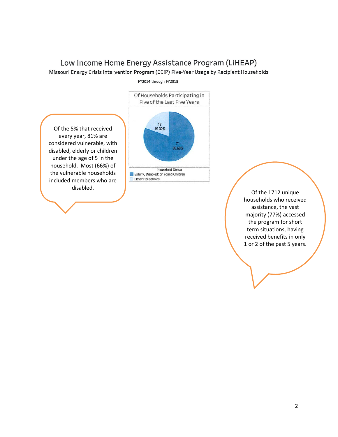### Low Income Home Energy Assistance Program (LiHEAP)

Missouri Energy Crisis Intervention Program (ECIP) Five-Year Usage by Recipient Households

FY2014 through FY2018

Of the 5% that received every year, 81% are considered vulnerable, with disabled, elderly or children under the age of 5 in the household. Most (66%) of the vulnerable households included members who are disabled.



Of the 1712 unique households who received assistance, the vast majority (77%) accessed the program for short term situations, having received benefits in only 1 or 2 of the past 5 years.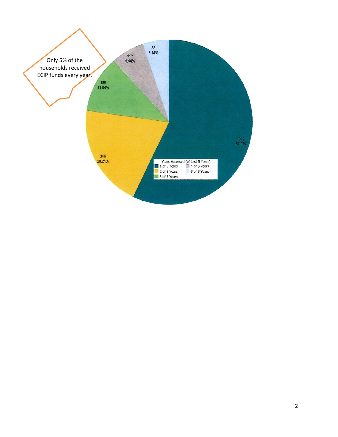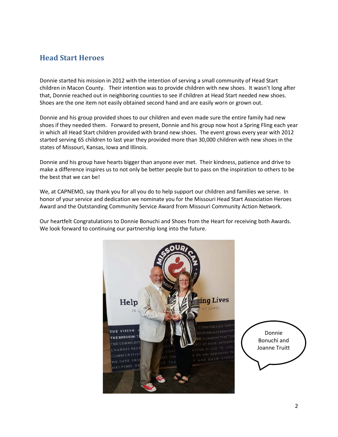#### <span id="page-8-0"></span>**Head Start Heroes**

Donnie started his mission in 2012 with the intention of serving a small community of Head Start children in Macon County. Their intention was to provide children with new shoes. It wasn't long after that, Donnie reached out in neighboring counties to see if children at Head Start needed new shoes. Shoes are the one item not easily obtained second hand and are easily worn or grown out.

Donnie and his group provided shoes to our children and even made sure the entire family had new shoes if they needed them. Forward to present, Donnie and his group now host a Spring Fling each year in which all Head Start children provided with brand new shoes. The event grows every year with 2012 started serving 65 children to last year they provided more than 30,000 children with new shoes in the states of Missouri, Kansas, Iowa and Illinois.

Donnie and his group have hearts bigger than anyone ever met. Their kindness, patience and drive to make a difference inspires us to not only be better people but to pass on the inspiration to others to be the best that we can be!

We, at CAPNEMO, say thank you for all you do to help support our children and families we serve. In honor of your service and dedication we nominate you for the Missouri Head Start Association Heroes Award and the Outstanding Community Service Award from Missouri Community Action Network.

Our heartfelt Congratulations to Donnie Bonuchi and Shoes from the Heart for receiving both Awards. We look forward to continuing our partnership long into the future.



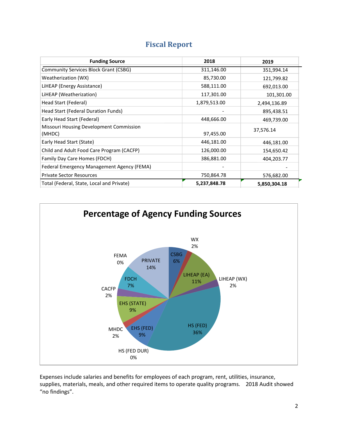<span id="page-9-0"></span>

| <b>Funding Source</b>                             | 2018         | 2019         |
|---------------------------------------------------|--------------|--------------|
| <b>Community Services Block Grant (CSBG)</b>      | 311,146.00   | 351,994.14   |
| Weatherization (WX)                               | 85,730.00    | 121,799.82   |
| LiHEAP (Energy Assistance)                        | 588,111.00   | 692,013.00   |
| LiHEAP (Weatherization)                           | 117,301.00   | 101,301.00   |
| Head Start (Federal)                              | 1,879,513.00 | 2,494,136.89 |
| Head Start (Federal Duration Funds)               |              | 895,438.51   |
| Early Head Start (Federal)                        | 448,666.00   | 469,739.00   |
| Missouri Housing Development Commission<br>(MHDC) | 97,455.00    | 37,576.14    |
| Early Head Start (State)                          | 446,181.00   | 446,181.00   |
| Child and Adult Food Care Program (CACFP)         | 126,000.00   | 154,650.42   |
| Family Day Care Homes (FDCH)                      | 386,881.00   | 404,203.77   |
| Federal Emergency Management Agency (FEMA)        |              |              |
| <b>Private Sector Resources</b>                   | 750,864.78   | 576,682.00   |
| Total (Federal, State, Local and Private)         | 5,237,848.78 | 5,850,304.18 |

### **Fiscal Report**



Expenses include salaries and benefits for employees of each program, rent, utilities, insurance, supplies, materials, meals, and other required items to operate quality programs. 2018 Audit showed "no findings".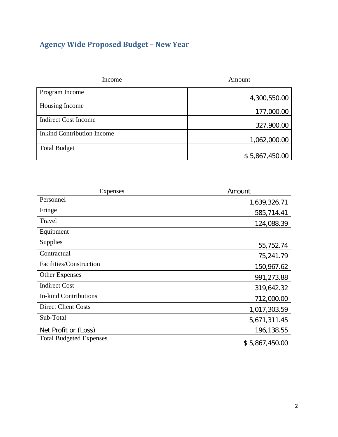### <span id="page-10-0"></span>**Agency Wide Proposed Budget – New Year**

| Income                            | Amount         |
|-----------------------------------|----------------|
| Program Income                    | 4,300,550.00   |
| Housing Income                    | 177,000.00     |
| <b>Indirect Cost Income</b>       | 327,900.00     |
| <b>Inkind Contribution Income</b> | 1,062,000.00   |
| <b>Total Budget</b>               |                |
|                                   | \$5,867,450.00 |

| Expenses                       | Amount         |
|--------------------------------|----------------|
| Personnel                      | 1,639,326.71   |
| Fringe                         | 585,714.41     |
| Travel                         | 124,088.39     |
| Equipment                      |                |
| <b>Supplies</b>                | 55,752.74      |
| Contractual                    | 75,241.79      |
| Facilities/Construction        | 150,967.62     |
| <b>Other Expenses</b>          | 991,273.88     |
| <b>Indirect Cost</b>           | 319,642.32     |
| <b>In-kind Contributions</b>   | 712,000.00     |
| <b>Direct Client Costs</b>     | 1,017,303.59   |
| Sub-Total                      | 5,671,311.45   |
| Net Profit or (Loss)           | 196,138.55     |
| <b>Total Budgeted Expenses</b> | \$5,867,450.00 |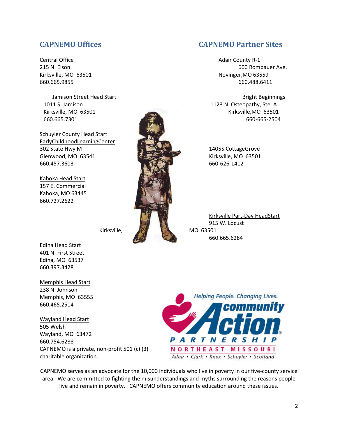**Central Office Adair County R-1** 

Schuyler County Head Start EarlyChildhoodLearningCenter 302 State Hwy M 1405S.CottageGrove Glenwood, MO 63541 Kirksville, MO 63501 660.457.3603 660-626-1412

Kahoka Head Start 157 E. Commercial Kahoka, MO 63445 660.727.2622

Edina Head Start 401 N. First Street Edina, MO 63537 660.397.3428

Memphis Head Start 238 N. Johnson Memphis, MO 63555 660.465.2514

Wayland Head Start 505 Welsh Wayland, MO 63472 660.754.6288 CAPNEMO is a private, non-profit 501 (c) (3) charitable organization.

<span id="page-11-0"></span>**CAPNEMO Offices CAPNEMO Partner Sites**

215 N. Elson 600 Rombauer Ave. Kirksville, MO 63501 Novinger, MO 63559 660.665.9855 660.488.6411

Jamison Street Head Start **Bright Beginnings** Bright Beginnings 1011 S. Jamison 1123 N. Osteopathy, Ste. A Kirksville, MO 63501 Kirksville, MO 63501 660.665.7301 660-665-2504

Kirksville Part-Day HeadStart 915 W. Locust Kirksville, MO 63501 660.665.6284



CAPNEMO serves as an advocate for the 10,000 individuals who live in poverty in our five-county service area. We are committed to fighting the misunderstandings and myths surrounding the reasons people live and remain in poverty. CAPNEMO offers community education around these issues.